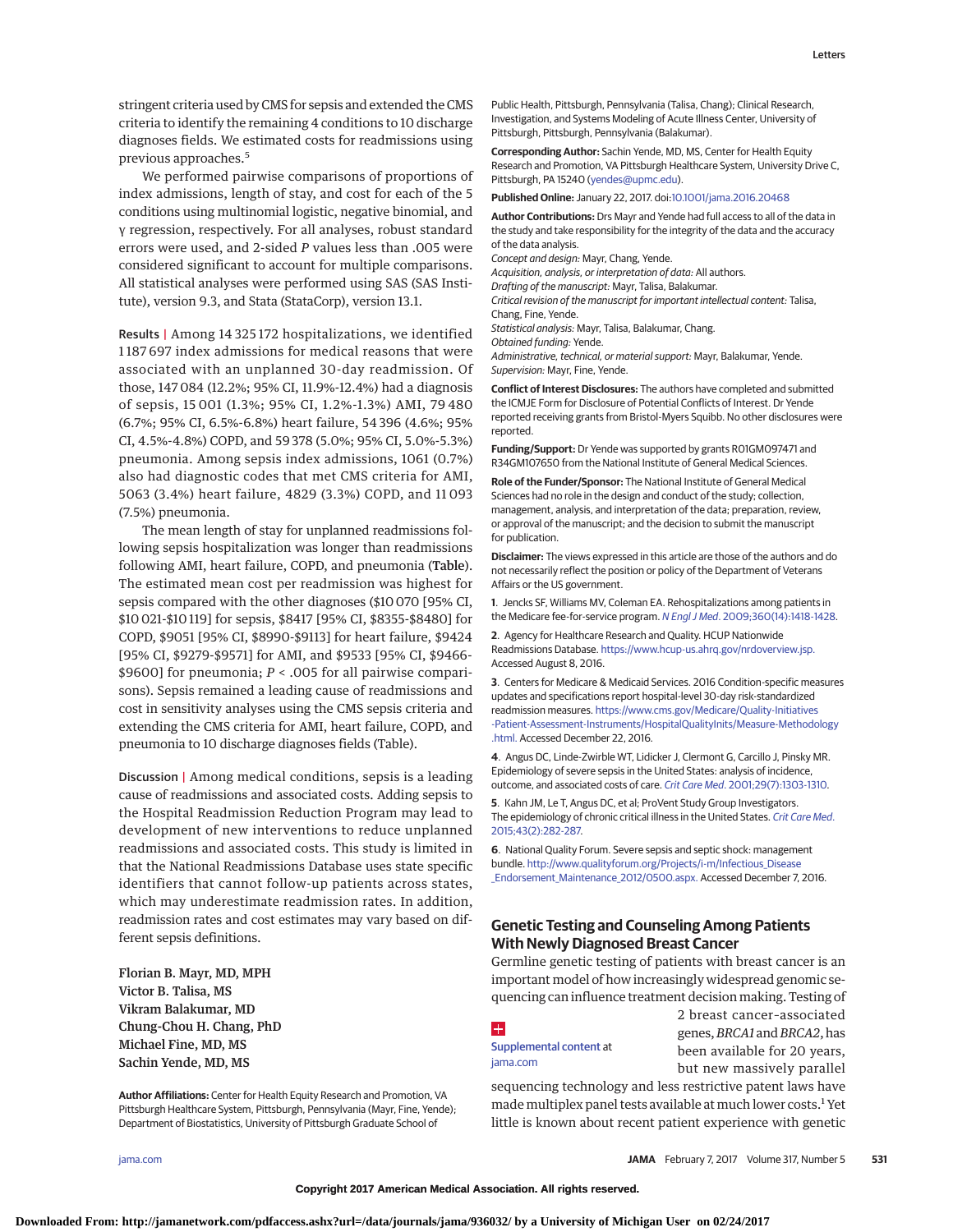stringent criteria used by CMS for sepsis and extended the CMS criteria to identify the remaining 4 conditions to 10 discharge diagnoses fields. We estimated costs for readmissions using previous approaches.<sup>5</sup>

We performed pairwise comparisons of proportions of index admissions, length of stay, and cost for each of the 5 conditions using multinomial logistic, negative binomial, and γ regression, respectively. For all analyses, robust standard errors were used, and 2-sided *P* values less than .005 were considered significant to account for multiple comparisons. All statistical analyses were performed using SAS (SAS Institute), version 9.3, and Stata (StataCorp), version 13.1.

Results | Among 14 325 172 hospitalizations, we identified 1 187 697 index admissions for medical reasons that were associated with an unplanned 30-day readmission. Of those, 147 084 (12.2%; 95% CI, 11.9%-12.4%) had a diagnosis of sepsis, 15 001 (1.3%; 95% CI, 1.2%-1.3%) AMI, 79 480 (6.7%; 95% CI, 6.5%-6.8%) heart failure, 54 396 (4.6%; 95% CI, 4.5%-4.8%) COPD, and 59 378 (5.0%; 95% CI, 5.0%-5.3%) pneumonia. Among sepsis index admissions, 1061 (0.7%) also had diagnostic codes that met CMS criteria for AMI, 5063 (3.4%) heart failure, 4829 (3.3%) COPD, and 11 093 (7.5%) pneumonia.

The mean length of stay for unplanned readmissions following sepsis hospitalization was longer than readmissions following AMI, heart failure, COPD, and pneumonia (Table). The estimated mean cost per readmission was highest for sepsis compared with the other diagnoses (\$10 070 [95% CI, \$10 021-\$10 119] for sepsis, \$8417 [95% CI, \$8355-\$8480] for COPD, \$9051 [95% CI, \$8990-\$9113] for heart failure, \$9424 [95% CI, \$9279-\$9571] for AMI, and \$9533 [95% CI, \$9466- \$9600] for pneumonia; *P* < .005 for all pairwise comparisons). Sepsis remained a leading cause of readmissions and cost in sensitivity analyses using the CMS sepsis criteria and extending the CMS criteria for AMI, heart failure, COPD, and pneumonia to 10 discharge diagnoses fields (Table).

Discussion | Among medical conditions, sepsis is a leading cause of readmissions and associated costs. Adding sepsis to the Hospital Readmission Reduction Program may lead to development of new interventions to reduce unplanned readmissions and associated costs. This study is limited in that the National Readmissions Database uses state specific identifiers that cannot follow-up patients across states, which may underestimate readmission rates. In addition, readmission rates and cost estimates may vary based on different sepsis definitions.

Florian B. Mayr, MD, MPH Victor B. Talisa, MS Vikram Balakumar, MD Chung-Chou H. Chang, PhD Michael Fine, MD, MS Sachin Yende, MD, MS

**Author Affiliations:** Center for Health Equity Research and Promotion, VA Pittsburgh Healthcare System, Pittsburgh, Pennsylvania (Mayr, Fine, Yende); Department of Biostatistics, University of Pittsburgh Graduate School of

Public Health, Pittsburgh, Pennsylvania (Talisa, Chang); Clinical Research, Investigation, and Systems Modeling of Acute Illness Center, University of Pittsburgh, Pittsburgh, Pennsylvania (Balakumar).

**Corresponding Author:** Sachin Yende, MD, MS, Center for Health Equity Research and Promotion, VA Pittsburgh Healthcare System, University Drive C, Pittsburgh, PA 15240 [\(yendes@upmc.edu\)](mailto:yendes@upmc.edu).

**Published Online:** January 22, 2017. doi[:10.1001/jama.2016.20468](http://jama.jamanetwork.com/article.aspx?doi=10.1001/jama.2016.20468&utm_campaign=articlePDF%26utm_medium=articlePDFlink%26utm_source=articlePDF%26utm_content=jama.2016.20468)

**Author Contributions:** Drs Mayr and Yende had full access to all of the data in the study and take responsibility for the integrity of the data and the accuracy of the data analysis.

Concept and design: Mayr, Chang, Yende.

Acquisition, analysis, or interpretation of data: All authors. Drafting of the manuscript: Mayr, Talisa, Balakumar.

Critical revision of the manuscript for important intellectual content: Talisa, Chang, Fine, Yende.

Statistical analysis: Mayr, Talisa, Balakumar, Chang.

Obtained funding: Yende.

Administrative, technical, or material support: Mayr, Balakumar, Yende. Supervision: Mayr, Fine, Yende.

**Conflict of Interest Disclosures:** The authors have completed and submitted the ICMJE Form for Disclosure of Potential Conflicts of Interest. Dr Yende reported receiving grants from Bristol-Myers Squibb. No other disclosures were reported.

**Funding/Support:** Dr Yende was supported by grants R01GM097471 and R34GM107650 from the National Institute of General Medical Sciences.

**Role of the Funder/Sponsor:** The National Institute of General Medical Sciences had no role in the design and conduct of the study; collection, management, analysis, and interpretation of the data; preparation, review, or approval of the manuscript; and the decision to submit the manuscript for publication.

**Disclaimer:** The views expressed in this article are those of the authors and do not necessarily reflect the position or policy of the Department of Veterans Affairs or the US government.

**1**. Jencks SF, Williams MV, Coleman EA. Rehospitalizations among patients in the Medicare fee-for-service program. N Engl J Med[. 2009;360\(14\):1418-1428.](https://www.ncbi.nlm.nih.gov/pubmed/19339721)

**2**. Agency for Healthcare Research and Quality. HCUP Nationwide Readmissions Database. [https://www.hcup-us.ahrq.gov/nrdoverview.jsp.](https://www.hcup-us.ahrq.gov/nrdoverview.jsp) Accessed August 8, 2016.

**3**. Centers for Medicare & Medicaid Services. 2016 Condition-specific measures updates and specifications report hospital-level 30-day risk-standardized readmission measures. [https://www.cms.gov/Medicare/Quality-Initiatives](https://www.cms.gov/Medicare/Quality-Initiatives-Patient-Assessment-Instruments/HospitalQualityInits/Measure-Methodology.html) [-Patient-Assessment-Instruments/HospitalQualityInits/Measure-Methodology](https://www.cms.gov/Medicare/Quality-Initiatives-Patient-Assessment-Instruments/HospitalQualityInits/Measure-Methodology.html) [.html.](https://www.cms.gov/Medicare/Quality-Initiatives-Patient-Assessment-Instruments/HospitalQualityInits/Measure-Methodology.html) Accessed December 22, 2016.

**4**. Angus DC, Linde-Zwirble WT, Lidicker J, Clermont G, Carcillo J, Pinsky MR. Epidemiology of severe sepsis in the United States: analysis of incidence, outcome, and associated costs of care. Crit Care Med[. 2001;29\(7\):1303-1310.](https://www.ncbi.nlm.nih.gov/pubmed/11445675)

**5**. Kahn JM, Le T, Angus DC, et al; ProVent Study Group Investigators. The epidemiology of chronic critical illness in the United States. [Crit Care Med](https://www.ncbi.nlm.nih.gov/pubmed/25377018). [2015;43\(2\):282-287.](https://www.ncbi.nlm.nih.gov/pubmed/25377018)

**6**. National Quality Forum. Severe sepsis and septic shock: management bundle. [http://www.qualityforum.org/Projects/i-m/Infectious\\_Disease](http://www.qualityforum.org/Projects/i-m/Infectious_Disease_Endorsement_Maintenance_2012/0500.aspx) [\\_Endorsement\\_Maintenance\\_2012/0500.aspx.](http://www.qualityforum.org/Projects/i-m/Infectious_Disease_Endorsement_Maintenance_2012/0500.aspx) Accessed December 7, 2016.

# **Genetic Testing and Counseling Among Patients With Newly Diagnosed Breast Cancer**

Germline genetic testing of patients with breast cancer is an important model of how increasingly widespread genomic sequencing can influence treatment decision making. Testing of

 $\pm$ [Supplemental content](http://jama.jamanetwork.com/article.aspx?doi=10.1001/jama.2016.20468&utm_campaign=articlePDF%26utm_medium=articlePDFlink%26utm_source=articlePDF%26utm_content=jama.2016.16918) at [jama.com](http://www.jama.com/?utm_campaign=articlePDF%26utm_medium=articlePDFlink%26utm_source=articlePDF%26utm_content=jama.2016.16918)

2 breast cancer–associated genes,*BRCA1* and*BRCA2*, has been available for 20 years, but new massively parallel

sequencing technology and less restrictive patent laws have made multiplex panel tests available at much lower costs.<sup>1</sup> Yet little is known about recent patient experience with genetic

**Copyright 2017 American Medical Association. All rights reserved.**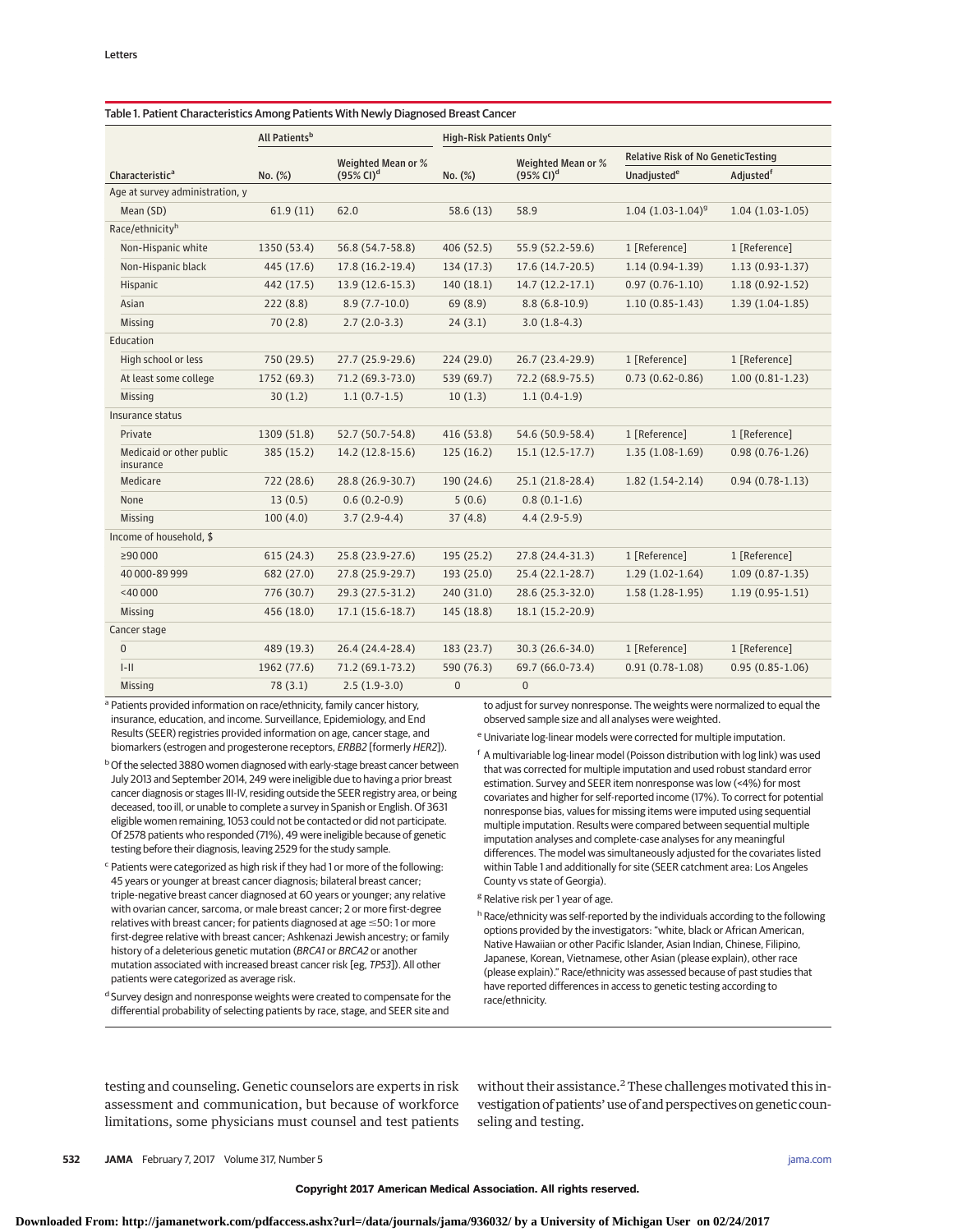|                                       | All Patients <sup>b</sup> |                         | High-Risk Patients Onlyc |                          |                                           |                     |  |
|---------------------------------------|---------------------------|-------------------------|--------------------------|--------------------------|-------------------------------------------|---------------------|--|
|                                       |                           | Weighted Mean or %      |                          | Weighted Mean or %       | <b>Relative Risk of No GeneticTesting</b> |                     |  |
| Characteristic <sup>a</sup>           | No. (%)                   | $(95%$ CI) <sup>d</sup> | No. (%)                  | $(95\%$ CI) <sup>d</sup> | Unadjusted <sup>e</sup>                   | Adjustedf           |  |
| Age at survey administration, y       |                           |                         |                          |                          |                                           |                     |  |
| Mean (SD)                             | 61.9(11)                  | 62.0                    | 58.6(13)                 | 58.9                     | $1.04(1.03-1.04)^{9}$                     | $1.04(1.03-1.05)$   |  |
| Race/ethnicityh                       |                           |                         |                          |                          |                                           |                     |  |
| Non-Hispanic white                    | 1350 (53.4)               | 56.8 (54.7-58.8)        | 406(52.5)                | 55.9 (52.2-59.6)         | 1 [Reference]                             | 1 [Reference]       |  |
| Non-Hispanic black                    | 445 (17.6)                | $17.8(16.2-19.4)$       | 134(17.3)                | 17.6 (14.7-20.5)         | $1.14(0.94-1.39)$                         | $1.13(0.93-1.37)$   |  |
| Hispanic                              | 442 (17.5)                | $13.9(12.6-15.3)$       | 140(18.1)                | $14.7(12.2-17.1)$        | $0.97(0.76 - 1.10)$                       | $1.18(0.92 - 1.52)$ |  |
| Asian                                 | 222(8.8)                  | $8.9(7.7-10.0)$         | 69(8.9)                  | $8.8(6.8-10.9)$          | $1.10(0.85 - 1.43)$                       | $1.39(1.04-1.85)$   |  |
| Missing                               | 70(2.8)                   | $2.7(2.0-3.3)$          | 24(3.1)                  | $3.0(1.8-4.3)$           |                                           |                     |  |
| Education                             |                           |                         |                          |                          |                                           |                     |  |
| High school or less                   | 750 (29.5)                | $27.7(25.9-29.6)$       | 224(29.0)                | 26.7 (23.4-29.9)         | 1 [Reference]                             | 1 [Reference]       |  |
| At least some college                 | 1752 (69.3)               | 71.2 (69.3-73.0)        | 539 (69.7)               | 72.2 (68.9-75.5)         | $0.73(0.62 - 0.86)$                       | $1.00(0.81-1.23)$   |  |
| Missing                               | 30(1.2)                   | $1.1(0.7-1.5)$          | 10(1.3)                  | $1.1(0.4-1.9)$           |                                           |                     |  |
| Insurance status                      |                           |                         |                          |                          |                                           |                     |  |
| Private                               | 1309 (51.8)               | 52.7 (50.7-54.8)        | 416(53.8)                | 54.6 (50.9-58.4)         | 1 [Reference]                             | 1 [Reference]       |  |
| Medicaid or other public<br>insurance | 385 (15.2)                | $14.2(12.8-15.6)$       | 125(16.2)                | $15.1(12.5-17.7)$        | $1.35(1.08-1.69)$                         | $0.98(0.76-1.26)$   |  |
| Medicare                              | 722 (28.6)                | 28.8 (26.9-30.7)        | 190(24.6)                | 25.1 (21.8-28.4)         | $1.82(1.54-2.14)$                         | $0.94(0.78-1.13)$   |  |
| None                                  | 13(0.5)                   | $0.6(0.2-0.9)$          | 5(0.6)                   | $0.8(0.1-1.6)$           |                                           |                     |  |
| Missing                               | 100(4.0)                  | $3.7(2.9-4.4)$          | 37(4.8)                  | $4.4(2.9-5.9)$           |                                           |                     |  |
| Income of household, \$               |                           |                         |                          |                          |                                           |                     |  |
| ≥90 000                               | 615(24.3)                 | 25.8 (23.9-27.6)        | 195(25.2)                | 27.8 (24.4-31.3)         | 1 [Reference]                             | 1 [Reference]       |  |
| 40 000-89 999                         | 682 (27.0)                | 27.8 (25.9-29.7)        | 193(25.0)                | 25.4 (22.1-28.7)         | $1.29(1.02-1.64)$                         | $1.09(0.87 - 1.35)$ |  |
| $<$ 40 000                            | 776 (30.7)                | 29.3 (27.5-31.2)        | 240(31.0)                | 28.6 (25.3-32.0)         | $1.58(1.28-1.95)$                         | $1.19(0.95 - 1.51)$ |  |
| Missing                               | 456 (18.0)                | $17.1(15.6-18.7)$       | 145 (18.8)               | 18.1 (15.2-20.9)         |                                           |                     |  |
| Cancer stage                          |                           |                         |                          |                          |                                           |                     |  |
| $\overline{0}$                        | 489 (19.3)                | 26.4 (24.4-28.4)        | 183(23.7)                | 30.3 (26.6-34.0)         | 1 [Reference]                             | 1 [Reference]       |  |
| $ - $                                 | 1962 (77.6)               | 71.2 (69.1-73.2)        | 590 (76.3)               | 69.7 (66.0-73.4)         | $0.91(0.78-1.08)$                         | $0.95(0.85 - 1.06)$ |  |
| Missing                               | 78(3.1)                   | $2.5(1.9-3.0)$          | $\boldsymbol{0}$         | $\overline{0}$           |                                           |                     |  |

#### <sup>a</sup> Patients provided information on race/ethnicity, family cancer history, insurance, education, and income. Surveillance, Epidemiology, and End Results (SEER) registries provided information on age, cancer stage, and biomarkers (estrogen and progesterone receptors, ERBB2 [formerly HER2]).

**b** Of the selected 3880 women diagnosed with early-stage breast cancer between July 2013 and September 2014, 249 were ineligible due to having a prior breast cancer diagnosis or stages III-IV, residing outside the SEER registry area, or being deceased, too ill, or unable to complete a survey in Spanish or English. Of 3631 eligible women remaining, 1053 could not be contacted or did not participate. Of 2578 patients who responded (71%), 49 were ineligible because of genetic

 $c$  Patients were categorized as high risk if they had 1 or more of the following: 45 years or younger at breast cancer diagnosis; bilateral breast cancer; triple-negative breast cancer diagnosed at 60 years or younger; any relative with ovarian cancer, sarcoma, or male breast cancer; 2 or more first-degree relatives with breast cancer; for patients diagnosed at age  $\leq$ 50: 1 or more first-degree relative with breast cancer; Ashkenazi Jewish ancestry; or family history of a deleterious genetic mutation (BRCA1 or BRCA2 or another mutation associated with increased breast cancer risk [eg, TP53]). All other patients were categorized as average risk.

testing before their diagnosis, leaving 2529 for the study sample.

d Survey design and nonresponse weights were created to compensate for the differential probability of selecting patients by race, stage, and SEER site and

to adjust for survey nonresponse. The weights were normalized to equal the observed sample size and all analyses were weighted.

e Univariate log-linear models were corrected for multiple imputation.

<sup>f</sup> A multivariable log-linear model (Poisson distribution with log link) was used that was corrected for multiple imputation and used robust standard error estimation. Survey and SEER item nonresponse was low (<4%) for most covariates and higher for self-reported income (17%). To correct for potential nonresponse bias, values for missing items were imputed using sequential multiple imputation. Results were compared between sequential multiple imputation analyses and complete-case analyses for any meaningful differences. The model was simultaneously adjusted for the covariates listed within Table 1 and additionally for site (SEER catchment area: Los Angeles County vs state of Georgia).

<sup>g</sup> Relative risk per 1 year of age.

h Race/ethnicity was self-reported by the individuals according to the following options provided by the investigators: "white, black or African American, Native Hawaiian or other Pacific Islander, Asian Indian, Chinese, Filipino, Japanese, Korean, Vietnamese, other Asian (please explain), other race (please explain)." Race/ethnicity was assessed because of past studies that have reported differences in access to genetic testing according to race/ethnicity.

testing and counseling. Genetic counselors are experts in risk assessment and communication, but because of workforce limitations, some physicians must counsel and test patients

without their assistance.<sup>2</sup> These challenges motivated this investigation of patients' use of and perspectives on genetic counseling and testing.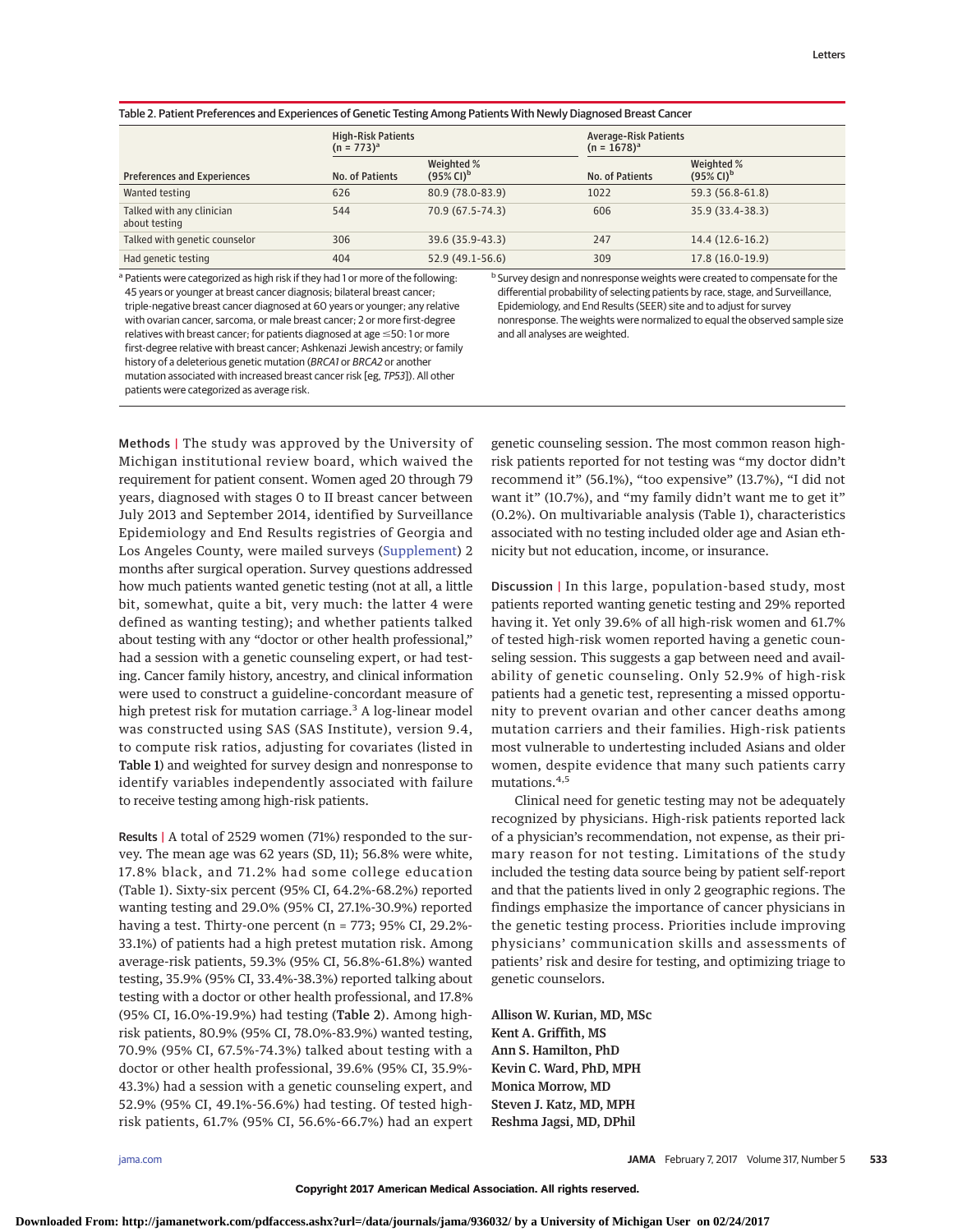| Table 2. Patient Preferences and Experiences of Genetic Testing Among Patients With Newly Diagnosed Breast Cancer |
|-------------------------------------------------------------------------------------------------------------------|
|-------------------------------------------------------------------------------------------------------------------|

|                                            | <b>High-Risk Patients</b><br>$(n = 773)^{a}$ |                                        | Average-Risk Patients<br>$(n = 1678)^a$ |                                        |
|--------------------------------------------|----------------------------------------------|----------------------------------------|-----------------------------------------|----------------------------------------|
| <b>Preferences and Experiences</b>         | No. of Patients                              | Weighted %<br>$(95\%$ CI) <sup>b</sup> | No. of Patients                         | Weighted %<br>$(95\%$ CI) <sup>b</sup> |
| Wanted testing                             | 626                                          | 80.9 (78.0-83.9)                       | 1022                                    | 59.3 (56.8-61.8)                       |
| Talked with any clinician<br>about testing | 544                                          | 70.9 (67.5-74.3)                       | 606                                     | 35.9 (33.4-38.3)                       |
| Talked with genetic counselor              | 306                                          | 39.6 (35.9-43.3)                       | 247                                     | $14.4(12.6-16.2)$                      |
| Had genetic testing                        | 404                                          | 52.9 (49.1-56.6)                       | 309                                     | 17.8 (16.0-19.9)                       |

<sup>a</sup> Patients were categorized as high risk if they had 1 or more of the following: 45 years or younger at breast cancer diagnosis; bilateral breast cancer; triple-negative breast cancer diagnosed at 60 years or younger; any relative with ovarian cancer, sarcoma, or male breast cancer; 2 or more first-degree relatives with breast cancer; for patients diagnosed at age  $\leq$ 50: 1 or more first-degree relative with breast cancer; Ashkenazi Jewish ancestry; or family history of a deleterious genetic mutation (BRCA1 or BRCA2 or another mutation associated with increased breast cancer risk [eg, TP53]). All other patients were categorized as average risk.

<sup>b</sup> Survey design and nonresponse weights were created to compensate for the differential probability of selecting patients by race, stage, and Surveillance, Epidemiology, and End Results (SEER) site and to adjust for survey nonresponse. The weights were normalized to equal the observed sample size and all analyses are weighted.

Methods | The study was approved by the University of Michigan institutional review board, which waived the requirement for patient consent. Women aged 20 through 79 years, diagnosed with stages 0 to II breast cancer between July 2013 and September 2014, identified by Surveillance Epidemiology and End Results registries of Georgia and Los Angeles County, were mailed surveys [\(Supplement\)](http://jama.jamanetwork.com/article.aspx?doi=10.1001/jama.2016.20468&utm_campaign=articlePDF%26utm_medium=articlePDFlink%26utm_source=articlePDF%26utm_content=jama.2016.16918) 2 months after surgical operation. Survey questions addressed how much patients wanted genetic testing (not at all, a little bit, somewhat, quite a bit, very much: the latter 4 were defined as wanting testing); and whether patients talked about testing with any "doctor or other health professional," had a session with a genetic counseling expert, or had testing. Cancer family history, ancestry, and clinical information were used to construct a guideline-concordant measure of high pretest risk for mutation carriage.<sup>3</sup> A log-linear model was constructed using SAS (SAS Institute), version 9.4, to compute risk ratios, adjusting for covariates (listed in Table 1) and weighted for survey design and nonresponse to identify variables independently associated with failure to receive testing among high-risk patients.

Results | A total of 2529 women (71%) responded to the survey. The mean age was 62 years (SD, 11); 56.8% were white, 17.8% black, and 71.2% had some college education (Table 1). Sixty-six percent (95% CI, 64.2%-68.2%) reported wanting testing and 29.0% (95% CI, 27.1%-30.9%) reported having a test. Thirty-one percent (n = 773; 95% CI, 29.2%- 33.1%) of patients had a high pretest mutation risk. Among average-risk patients, 59.3% (95% CI, 56.8%-61.8%) wanted testing, 35.9% (95% CI, 33.4%-38.3%) reported talking about testing with a doctor or other health professional, and 17.8% (95% CI, 16.0%-19.9%) had testing (Table 2). Among highrisk patients, 80.9% (95% CI, 78.0%-83.9%) wanted testing, 70.9% (95% CI, 67.5%-74.3%) talked about testing with a doctor or other health professional, 39.6% (95% CI, 35.9%- 43.3%) had a session with a genetic counseling expert, and 52.9% (95% CI, 49.1%-56.6%) had testing. Of tested highrisk patients, 61.7% (95% CI, 56.6%-66.7%) had an expert genetic counseling session. The most common reason highrisk patients reported for not testing was "my doctor didn't recommend it" (56.1%), "too expensive" (13.7%), "I did not want it" (10.7%), and "my family didn't want me to get it" (0.2%). On multivariable analysis (Table 1), characteristics associated with no testing included older age and Asian ethnicity but not education, income, or insurance.

Discussion | In this large, population-based study, most patients reported wanting genetic testing and 29% reported having it. Yet only 39.6% of all high-risk women and 61.7% of tested high-risk women reported having a genetic counseling session. This suggests a gap between need and availability of genetic counseling. Only 52.9% of high-risk patients had a genetic test, representing a missed opportunity to prevent ovarian and other cancer deaths among mutation carriers and their families. High-risk patients most vulnerable to undertesting included Asians and older women, despite evidence that many such patients carry mutations.<sup>4,5</sup>

Clinical need for genetic testing may not be adequately recognized by physicians. High-risk patients reported lack of a physician's recommendation, not expense, as their primary reason for not testing. Limitations of the study included the testing data source being by patient self-report and that the patients lived in only 2 geographic regions. The findings emphasize the importance of cancer physicians in the genetic testing process. Priorities include improving physicians' communication skills and assessments of patients' risk and desire for testing, and optimizing triage to genetic counselors.

Allison W. Kurian, MD, MSc Kent A. Griffith, MS Ann S. Hamilton, PhD Kevin C. Ward, PhD, MPH Monica Morrow, MD Steven J. Katz, MD, MPH Reshma Jagsi, MD, DPhil